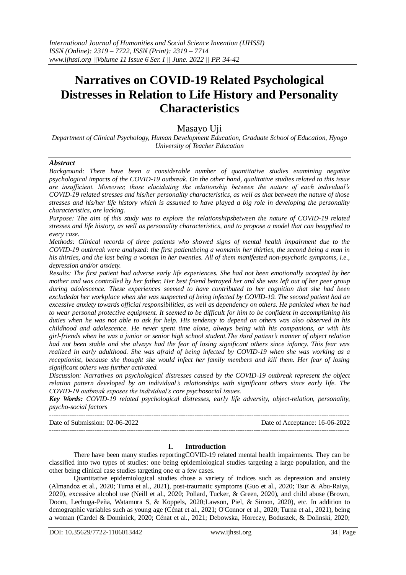# **Narratives on COVID-19 Related Psychological Distresses in Relation to Life History and Personality Characteristics**

# Masayo Uji

*Department of Clinical Psychology, Human Development Education, Graduate School of Education, Hyogo University of Teacher Education*

#### *Abstract*

*Background: There have been a considerable number of quantitative studies examining negative psychological impacts of the COVID-19 outbreak. On the other hand, qualitative studies related to this issue are insufficient. Moreover, those elucidating the relationship between the nature of each individual's COVID-19 related stresses and his/her personality characteristics, as well as that between the nature of those stresses and his/her life history which is assumed to have played a big role in developing the personality characteristics, are lacking.*

*Purpose: The aim of this study was to explore the relationshipsbetween the nature of COVID-19 related stresses and life history, as well as personality characteristics, and to propose a model that can beapplied to every case.*

*Methods: Clinical records of three patients who showed signs of mental health impairment due to the COVID-19 outbreak were analyzed: the first patientbeing a womanin her thirties, the second being a man in his thirties, and the last being a woman in her twenties. All of them manifested non-psychotic symptoms, i.e., depression and/or anxiety.*

*Results: The first patient had adverse early life experiences. She had not been emotionally accepted by her mother and was controlled by her father. Her best friend betrayed her and she was left out of her peer group during adolescence. These experiences seemed to have contributed to her cognition that she had been excludedat her workplace when she was suspected of being infected by COVID-19. The second patient had an excessive anxiety towards official responsibilities, as well as dependency on others. He panicked when he had to wear personal protective equipment. It seemed to be difficult for him to be confident in accomplishing his duties when he was not able to ask for help. His tendency to depend on others was also observed in his childhood and adolescence. He never spent time alone, always being with his companions, or with his girl-friends when he was a junior or senior high school student.The third patient's manner of object relation had not been stable and she always had the fear of losing significant others since infancy. This fear was realized in early adulthood. She was afraid of being infected by COVID-19 when she was working as a receptionist, because she thought she would infect her family members and kill them. Her fear of losing significant others was further activated.*

*Discussion: Narratives on psychological distresses caused by the COVID-19 outbreak represent the object relation pattern developed by an individual's relationships with significant others since early life. The COVID-19 outbreak exposes the individual's core psychosocial issues.*

*Key Words: COVID-19 related psychological distresses, early life adversity, object-relation, personality, psycho-social factors*

------------------------------------------------------------------------------------------------------------------------------------ Date of Submission: 02-06-2022 Date of Acceptance: 16-06-2022 ------------------------------------------------------------------------------------------------------------------------------------

#### **I. Introduction**

There have been many studies reportingCOVID-19 related mental health impairments. They can be classified into two types of studies: one being epidemiological studies targeting a large population, and the other being clinical case studies targeting one or a few cases.

Quantitative epidemiological studies chose a variety of indices such as depression and anxiety (Almandoz et al., 2020; Turna et al., 2021), post-traumatic symptoms (Guo et al., 2020; Tsur & Abu-Raiya, 2020), excessive alcohol use (Neill et al., 2020; Pollard, Tucker, & Green, 2020), and child abuse (Brown, Doom, Lechuga-Peña, Watamura S, & Koppels, 2020;Lawson, Piel, & Simon, 2020), etc. In addition to demographic variables such as young age (Cénat et al., 2021; O'Connor et al., 2020; Turna et al., 2021), being a woman (Cardel & Dominick, 2020; Cénat et al., 2021; Debowska, Horeczy, Boduszek, & Dolinski, 2020;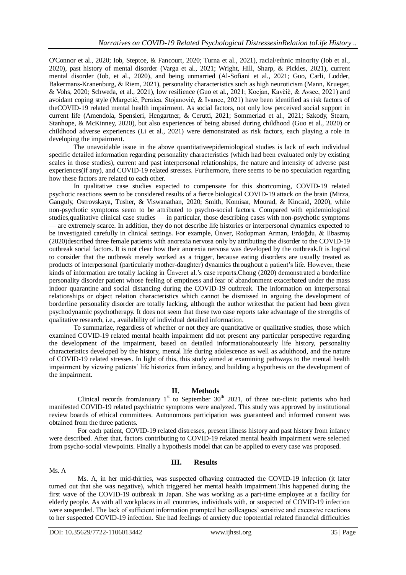O'Connor et al., 2020; Iob, Steptoe, & Fancourt, 2020; Turna et al., 2021), racial/ethnic minority (Iob et al., 2020), past history of mental disorder (Varga et al., 2021; Wright, Hill, Sharp, & Pickles, 2021), current mental disorder (Iob, et al., 2020), and being unmarried (Al-Sofiani et al., 2021; Guo, Carli, Lodder, Bakermans-Kranenburg, & Riem, 2021), personality characteristics such as high neuroticism (Mann, Krueger, & Vohs, 2020; Schweda, et al., 2021), low resilience (Guo et al., 2021; Kocjan, Kavčič, & Avsec, 2021) and avoidant coping style (Margetić, Peraica, Stojanović, & Ivanec, 2021) have been identified as risk factors of theCOVID-19 related mental health impairment. As social factors, not only low perceived social support in current life (Amendola, Spensieri, Hengartner, & Cerutti, 2021; Sommerlad et al., 2021; Szkody, Stearn, Stanhope, & McKinney, 2020), but also experiences of being abused during childhood (Guo et al., 2020) or childhood adverse experiences (Li et al., 2021) were demonstrated as risk factors, each playing a role in developing the impairment.

The unavoidable issue in the above quantitativeepidemiological studies is lack of each individual specific detailed information regarding personality characteristics (which had been evaluated only by existing scales in those studies), current and past interpersonal relationships, the nature and intensity of adverse past experiences(if any), and COVID-19 related stresses. Furthermore, there seems to be no speculation regarding how these factors are related to each other.

In qualitative case studies expected to compensate for this shortcoming, COVID-19 related psychotic reactions seem to be considered results of a fierce biological COVID-19 attack on the brain (Mirza, Ganguly, Ostrovskaya, Tusher, & Viswanathan, 2020; Smith, Komisar, Mourad, & Kincaid, 2020), while non-psychotic symptoms seem to be attributed to psycho-social factors. Compared with epidemiological studies,qualitative clinical case studies — in particular, those describing cases with non-psychotic symptoms — are extremely scarce. In addition, they do not describe life histories or interpersonal dynamics expected to be investigated carefully in clinical settings. For example, Ünver, Rodopman Arman, Erdoğdu, & İlbasmış (2020)described three female patients with anorexia nervosa only by attributing the disorder to the COVID-19 outbreak social factors. It is not clear how their anorexia nervosa was developed by the outbreak.It is logical to consider that the outbreak merely worked as a trigger, because eating disorders are usually treated as products of interpersonal (particularly mother-daughter) dynamics throughout a patient's life. However, these kinds of information are totally lacking in Ünveret al.'s case reports.Chong (2020) demonstrated a borderline personality disorder patient whose feeling of emptiness and fear of abandonment exacerbated under the mass indoor quarantine and social distancing during the COVID-19 outbreak. The information on interpersonal relationships or object relation characteristics which cannot be dismissed in arguing the development of borderline personality disorder are totally lacking, although the author writesthat the patient had been given psychodynamic psychotherapy. It does not seem that these two case reports take advantage of the strengths of qualitative research, i.e., availability of individual detailed information.

To summarize, regardless of whether or not they are quantitative or qualitative studies, those which examined COVID-19 related mental health impairment did not present any particular perspective regarding the development of the impairment, based on detailed informationaboutearly life history, personality characteristics developed by the history, mental life during adolescence as well as adulthood, and the nature of COVID-19 related stresses. In light of this, this study aimed at examining pathways to the mental health impairment by viewing patients' life histories from infancy, and building a hypothesis on the development of the impairment.

# **II. Methods**

Clinical records from January  $1<sup>st</sup>$  to September 30<sup>th</sup> 2021, of three out-clinic patients who had manifested COVID-19 related psychiatric symptoms were analyzed. This study was approved by institutional review boards of ethical committees. Autonomous participation was guaranteed and informed consent was obtained from the three patients.

For each patient, COVID-19 related distresses, present illness history and past history from infancy were described. After that, factors contributing to COVID-19 related mental health impairment were selected from psycho-social viewpoints. Finally a hypothesis model that can be applied to every case was proposed.

# **III. Results**

#### Ms. A

Ms. A, in her mid-thirties, was suspected ofhaving contracted the COVID-19 infection (it later turned out that she was negative), which triggered her mental health impairment.This happened during the first wave of the COVID-19 outbreak in Japan. She was working as a part-time employee at a facility for elderly people. As with all workplaces in all countries, individuals with, or suspected of COVID-19 infection were suspended. The lack of sufficient information prompted her colleagues' sensitive and excessive reactions to her suspected COVID-19 infection. She had feelings of anxiety due topotential related financial difficulties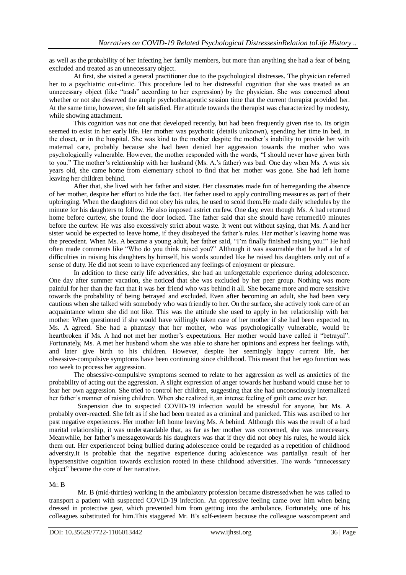as well as the probability of her infecting her family members, but more than anything she had a fear of being excluded and treated as an unnecessary object.

At first, she visited a general practitioner due to the psychological distresses. The physician referred her to a psychiatric out-clinic. This procedure led to her distressful cognition that she was treated as an unnecessary object (like "trash" according to her expression) by the physician. She was concerned about whether or not she deserved the ample psychotherapeutic session time that the current therapist provided her. At the same time, however, she felt satisfied. Her attitude towards the therapist was characterized by modesty, while showing attachment.

This cognition was not one that developed recently, but had been frequently given rise to. Its origin seemed to exist in her early life. Her mother was psychotic (details unknown), spending her time in bed, in the closet, or in the hospital. She was kind to the mother despite the mother's inability to provide her with maternal care, probably because she had been denied her aggression towards the mother who was psychologically vulnerable. However, the mother responded with the words, "I should never have given birth to you." The mother's relationship with her husband (Ms. A.'s father) was bad. One day when Ms. A was six years old, she came home from elementary school to find that her mother was gone. She had left home leaving her children behind.

After that, she lived with her father and sister. Her classmates made fun of herregarding the absence of her mother, despite her effort to hide the fact. Her father used to apply controlling measures as part of their upbringing. When the daughters did not obey his rules, he used to scold them.He made daily schedules by the minute for his daughters to follow. He also imposed astrict curfew. One day, even though Ms. A had returned home before curfew, she found the door locked. The father said that she should have returned10 minutes before the curfew. He was also excessively strict about waste. It went out without saying, that Ms. A and her sister would be expected to leave home, if they disobeyed the father's rules. Her mother's leaving home was the precedent. When Ms. A became a young adult, her father said, "I'm finally finished raising you!" He had often made comments like "Who do you think raised you?" Although it was assumable that he had a lot of difficulties in raising his daughters by himself, his words sounded like he raised his daughters only out of a sense of duty. He did not seem to have experienced any feelings of enjoyment or pleasure.

In addition to these early life adversities, she had an unforgettable experience during adolescence. One day after summer vacation, she noticed that she was excluded by her peer group. Nothing was more painful for her than the fact that it was her friend who was behind it all. She became more and more sensitive towards the probability of being betrayed and excluded. Even after becoming an adult, she had been very cautious when she talked with somebody who was friendly to her. On the surface, she actively took care of an acquaintance whom she did not like. This was the attitude she used to apply in her relationship with her mother. When questioned if she would have willingly taken care of her mother if she had been expected to, Ms. A agreed. She had a phantasy that her mother, who was psychologically vulnerable, would be heartbroken if Ms. A had not met her mother's expectations. Her mother would have called it "betrayal". Fortunately, Ms. A met her husband whom she was able to share her opinions and express her feelings with, and later give birth to his children. However, despite her seemingly happy current life, her obsessive-compulsive symptoms have been continuing since childhood. This meant that her ego function was too week to process her aggression.

The obsessive-compulsive symptoms seemed to relate to her aggression as well as anxieties of the probability of acting out the aggression. A slight expression of anger towards her husband would cause her to fear her own aggression. She tried to control her children, suggesting that she had unconsciously internalized her father's manner of raising children. When she realized it, an intense feeling of guilt came over her.

Suspension due to suspected COVID-19 infection would be stressful for anyone, but Ms. A probably over-reacted. She felt as if she had been treated as a criminal and panicked. This was ascribed to her past negative experiences. Her mother left home leaving Ms. A behind. Although this was the result of a bad marital relationship, it was understandable that, as far as her mother was concerned, she was unnecessary. Meanwhile, her father's messagetowards his daughters was that if they did not obey his rules, he would kick them out. Her experienceof being bullied during adolescence could be regarded as a repetition of childhood adversity.It is probable that the negative experience during adolescence was partiallya result of her hypersensitive cognition towards exclusion rooted in these childhood adversities. The words "unnecessary object" became the core of her narrative.

#### Mr. B

Mr. B (mid-thirties) working in the ambulatory profession became distressedwhen he was called to transport a patient with suspected COVID-19 infection. An oppressive feeling came over him when being dressed in protective gear, which prevented him from getting into the ambulance. Fortunately, one of his colleagues substituted for him.This staggered Mr. B's self-esteem because the colleague wascompetent and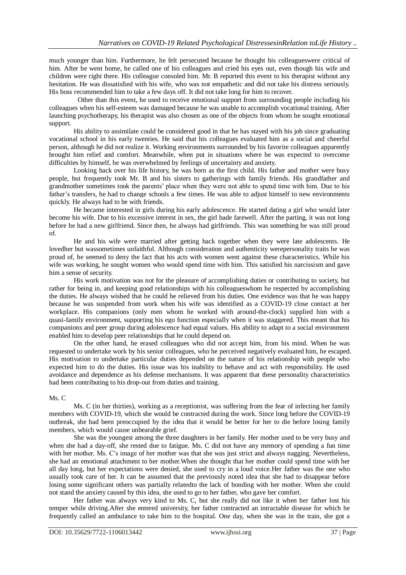much younger than him. Furthermore, he felt persecuted because he thought his colleagueswere critical of him. After he went home, he called one of his colleagues and cried his eyes out, even though his wife and children were right there. His colleague consoled him. Mr. B reported this event to his therapist without any hesitation. He was dissatisfied with his wife, who was not empathetic and did not take his distress seriously. His boss recommended him to take a few days off. It did not take long for him to recover.

Other than this event, he used to receive emotional support from surrounding people including his colleagues when his self-esteem was damaged because he was unable to accomplish vocational training. After launching psychotherapy, his therapist was also chosen as one of the objects from whom he sought emotional support.

His ability to assimilate could be considered good in that he has stayed with his job since graduating vocational school in his early twenties. He said that his colleagues evaluated him as a social and cheerful person, although he did not realize it. Working environments surrounded by his favorite colleagues apparently brought him relief and comfort. Meanwhile, when put in situations where he was expected to overcome difficulties by himself, he was overwhelmed by feelings of uncertainty and anxiety.

Looking back over his life history, he was born as the first child. His father and mother were busy people, but frequently took Mr. B and his sisters to gatherings with family friends. His grandfather and grandmother sometimes took the parents' place when they were not able to spend time with him. Due to his father's transfers, he had to change schools a few times. He was able to adjust himself to new environments quickly. He always had to be with friends.

He became interested in girls during his early adolescence. He started dating a girl who would later become his wife. Due to his excessive interest in sex, the girl bade farewell. After the parting, it was not long before he had a new girlfriend. Since then, he always had girlfriends. This was something he was still proud of.

He and his wife were married after getting back together when they were late adolescents. He lovedher but wassometimes unfaithful. Although consideration and authenticity werepersonality traits he was proud of, he seemed to deny the fact that his acts with women went against these characteristics. While his wife was working, he sought women who would spend time with him. This satisfied his narcissism and gave him a sense of security.

His work motivation was not for the pleasure of accomplishing duties or contributing to society, but rather for being in, and keeping good relationships with his colleagueswhom he respected by accomplishing the duties. He always wished that he could be relieved from his duties. One evidence was that he was happy because he was suspended from work when his wife was identified as a COVID-19 close contact at her workplace. His companions (only men whom he worked with around-the-clock) supplied him with a quasi-family environment, supporting his ego function especially when it was staggered. This meant that his companions and peer group during adolescence had equal values. His ability to adapt to a social environment enabled him to develop peer relationships that he could depend on.

On the other hand, he erased colleagues who did not accept him, from his mind. When he was requested to undertake work by his senior colleagues, who he perceived negatively evaluated him, he escaped. His motivation to undertake particular duties depended on the nature of his relationship with people who expected him to do the duties. His issue was his inability to behave and act with responsibility. He used avoidance and dependence as his defense mechanisms. It was apparent that these personality characteristics had been contributing to his drop-out from duties and training.

#### Ms. C

Ms. C (in her thirties), working as a receptionist, was suffering from the fear of infecting her family members with COVID-19, which she would be contracted during the work. Since long before the COVID-19 outbreak, she had been preoccupied by the idea that it would be better for her to die before losing family members, which would cause unbearable grief.

She was the youngest among the three daughters in her family. Her mother used to be very busy and when she had a day-off, she rested due to fatigue. Ms. C did not have any memory of spending a fun time with her mother. Ms. C's image of her mother was that she was just strict and always nagging. Nevertheless, she had an emotional attachment to her mother.When she thought that her mother could spend time with her all day long, but her expectations were denied, she used to cry in a loud voice.Her father was the one who usually took care of her. It can be assumed that the previously noted idea that she had to disappear before losing some significant others was partially relatedto the lack of bonding with her mother. When she could not stand the anxiety caused by this idea, she used to go to her father, who gave her comfort.

Her father was always very kind to Ms. C, but she really did not like it when her father lost his temper while driving.After she entered university, her father contracted an intractable disease for which he frequently called an ambulance to take him to the hospital. One day, when she was in the train, she got a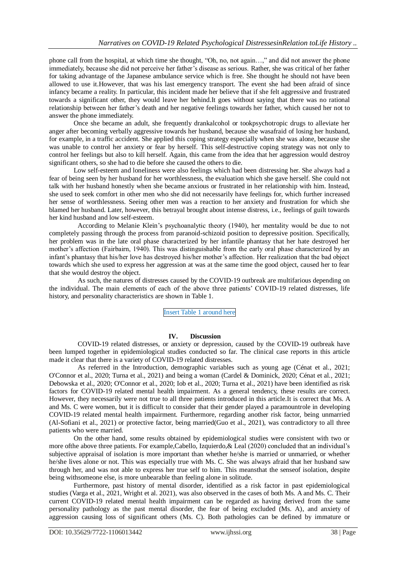phone call from the hospital, at which time she thought, "Oh, no, not again…," and did not answer the phone immediately, because she did not perceive her father's disease as serious. Rather, she was critical of her father for taking advantage of the Japanese ambulance service which is free. She thought he should not have been allowed to use it.However, that was his last emergency transport. The event she had been afraid of since infancy became a reality. In particular, this incident made her believe that if she felt aggressive and frustrated towards a significant other, they would leave her behind.It goes without saying that there was no rational relationship between her father's death and her negative feelings towards her father, which caused her not to answer the phone immediately.

Once she became an adult, she frequently drankalcohol or tookpsychotropic drugs to alleviate her anger after becoming verbally aggressive towards her husband, because she wasafraid of losing her husband, for example, in a traffic accident. She applied this coping strategy especially when she was alone, because she was unable to control her anxiety or fear by herself. This self-destructive coping strategy was not only to control her feelings but also to kill herself. Again, this came from the idea that her aggression would destroy significant others, so she had to die before she caused the others to die.

Low self-esteem and loneliness were also feelings which had been distressing her. She always had a fear of being seen by her husband for her worthlessness, the evaluation which she gave herself. She could not talk with her husband honestly when she became anxious or frustrated in her relationship with him. Instead, she used to seek comfort in other men who she did not necessarily have feelings for, which further increased her sense of worthlessness. Seeing other men was a reaction to her anxiety and frustration for which she blamed her husband. Later, however, this betrayal brought about intense distress, i.e., feelings of guilt towards her kind husband and low self-esteem.

According to Melanie Klein's psychoanalytic theory (1940), her mentality would be due to not completely passing through the process from paranoid-schizoid position to depressive position. Specifically, her problem was in the late oral phase characterized by her infantile phantasy that her hate destroyed her mother's affection (Fairbairn, 1940). This was distinguishable from the early oral phase characterized by an infant's phantasy that his/her love has destroyed his/her mother's affection. Her realization that the bad object towards which she used to express her aggression at was at the same time the good object, caused her to fear that she would destroy the object.

As such, the natures of distresses caused by the COVID-19 outbreak are multifarious depending on the individual. The main elements of each of the above three patients' COVID-19 related distresses, life history, and personality characteristics are shown in Table 1.

Insert Table 1 around here

# **IV. Discussion**

COVID-19 related distresses, or anxiety or depression, caused by the COVID-19 outbreak have been lumped together in epidemiological studies conducted so far. The clinical case reports in this article made it clear that there is a variety of COVID-19 related distresses.

As referred in the Introduction, demographic variables such as young age (Cénat et al., 2021; O'Connor et al., 2020; Turna et al., 2021) and being a woman (Cardel & Dominick, 2020; Cénat et al., 2021; Debowska et al., 2020; O'Connor et al., 2020; Iob et al., 2020; Turna et al., 2021) have been identified as risk factors for COVID-19 related mental health impairment. As a general tendency, these results are correct. However, they necessarily were not true to all three patients introduced in this article.It is correct that Ms. A and Ms. C were women, but it is difficult to consider that their gender played a paramountrole in developing COVID-19 related mental health impairment. Furthermore, regarding another risk factor, being unmarried (Al-Sofiani et al., 2021) or protective factor, being married(Guo et al., 2021), was contradictory to all three patients who were married.

On the other hand, some results obtained by epidemiological studies were consistent with two or more ofthe above three patients. For example,Cabello, Izquierdo,& Leal (2020) concluded that an individual's subjective appraisal of isolation is more important than whether he/she is married or unmarried, or whether he/she lives alone or not. This was especially true with Ms. C. She was always afraid that her husband saw through her, and was not able to express her true self to him. This meansthat the senseof isolation, despite being withsomeone else, is more unbearable than feeling alone in solitude.

Furthermore, past history of mental disorder, identified as a risk factor in past epidemiological studies (Varga et al., 2021, Wright et al. 2021), was also observed in the cases of both Ms. A and Ms. C. Their current COVID-19 related mental health impairment can be regarded as having derived from the same personality pathology as the past mental disorder, the fear of being excluded (Ms. A), and anxiety of aggression causing loss of significant others (Ms. C). Both pathologies can be defined by immature or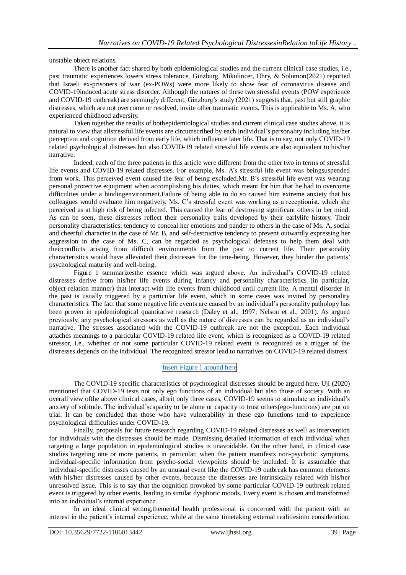unstable object relations.

There is another fact shared by both epidemiological studies and the current clinical case studies, i.e., past traumatic experiences lowers stress tolerance. Ginzburg, Mikulincer, Ohry, & Solomon(2021) reported that Israeli ex-prisoners of war (ex-POWs) were more likely to show fear of coronavirus disease and COVID-19induced acute stress disorder. Although the natures of these two stressful events (POW experience and COVID-19 outbreak) are seemingly different, Ginzburg's study (2021) suggests that, past but still graphic distresses, which are not overcome or resolved, invite other traumatic events. This is applicable to Ms. A, who experienced childhood adversity.

Taken together the results of bothepidemiological studies and current clinical case studies above, it is natural to view that allstressful life events are circumscribed by each individual's personality including his/her perception and cognition derived from early life, which influence later life. That is to say, not only COVID-19 related psychological distresses but also COVID-19 related stressful life events are also equivalent to his/her narrative.

Indeed, each of the three patients in this article were different from the other two in terms of stressful life events and COVID-19 related distresses. For example, Ms. A's stressful life event was beingsuspended from work. This perceived event caused the fear of being excluded.Mr. B's stressful life event was wearing personal protective equipment when accomplishing his duties, which meant for him that he had to overcome difficulties under a bindingenvironment.Failure of being able to do so caused him extreme anxiety that his colleagues would evaluate him negatively. Ms. C's stressful event was working as a receptionist, which she perceived as at high risk of being infected. This caused the fear of destroying significant others in her mind. As can be seen, these distresses reflect their personality traits developed by their earlylife history. Their personality characteristics: tendency to conceal her emotions and pander to others in the case of Ms. A, social and cheerful character in the case of Mr. B, and self-destructive tendency to prevent outwardly expressing her aggression in the case of Ms. C, can be regarded as psychological defenses to help them deal with theirconflicts arising from difficult environments from the past to current life. Their personality characteristics would have alleviated their distresses for the time-being. However, they hinder the patients' psychological maturity and well-being.

Figure 1 summarizesthe essence which was argued above. An individual's COVID-19 related distresses derive from his/her life events during infancy and personality characteristics (in particular, object-relation manner) that interact with life events from childhood until current life. A mental disorder in the past is usually triggered by a particular life event, which in some cases was invited by personality characteristics. The fact that some negative life events are caused by an individual's personality pathology has been proven in epidemiological quantitative research (Daley et al., 1997; Nelson et al., 2001). As argued previously, any psychological stressors as well as the nature of distresses can be regarded as an individual's narrative. The stresses associated with the COVID-19 outbreak are not the exception. Each individual attaches meanings to a particular COVID-19 related life event, which is recognized as a COVID-19 related stressor, i.e., whether or not some particular COVID-19 related event is recognized as a trigger of the distresses depends on the individual. The recognized stressor lead to narratives on COVID-19 related distress.

# Insert Figure 1 around here

The COVID-19 specific characteristics of psychological distresses should be argued here. Uji (2020) mentioned that COVID-19 tests not only ego functions of an individual but also those of society. With an overall view ofthe above clinical cases, albeit only three cases, COVID-19 seems to stimulate an individual's anxiety of solitude. The individual'scapacity to be alone or capacity to trust others(ego-functions) are put on trial. It can be concluded that those who have vulnerability in these ego functions tend to experience psychological difficulties under COVID-19.

Finally, proposals for future research regarding COVID-19 related distresses as well as intervention for individuals with the distresses should be made. Dismissing detailed information of each individual when targeting a large population in epidemiological studies is unavoidable. On the other hand, in clinical case studies targeting one or more patients, in particular, when the patient manifests non-psychotic symptoms, individual-specific information from psycho-social viewpoints should be included. It is assumable that individual-specific distresses caused by an unusual event like the COVID-19 outbreak has common elements with his/her distresses caused by other events, because the distresses are intrinsically related with his/her unresolved issue. This is to say that the cognition provoked by some particular COVID-19 outbreak related event is triggered by other events, leading to similar dysphoric moods. Every event is chosen and transformed into an individual's internal experience.

In an ideal clinical setting, themental health professional is concerned with the patient with an interest in the patient's internal experience, while at the same timetaking external realitiesinto consideration.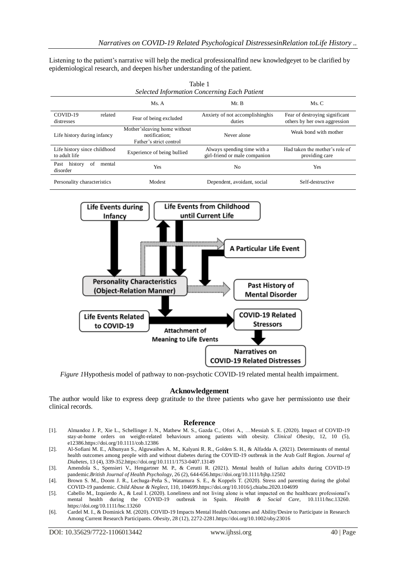Listening to the patient's narrative will help the medical professionalfind new knowledgeyet to be clarified by epidemiological research, and deepen his/her understanding of the patient.

Table 1

| <b>Selected Information Concerning Each Patient</b> |                                                                          |                                                              |                                                                |
|-----------------------------------------------------|--------------------------------------------------------------------------|--------------------------------------------------------------|----------------------------------------------------------------|
|                                                     | Ms. A                                                                    | Mr. B                                                        | Ms. C                                                          |
| COVID-19<br>related<br>distresses                   | Fear of being excluded                                                   | Anxiety of not accomplishinghis<br>duties                    | Fear of destroying significant<br>others by her own aggression |
| Life history during infancy                         | Mother'sleaving home without<br>notification;<br>Father's strict control | Never alone                                                  | Weak bond with mother                                          |
| Life history since childhood<br>to adult life       | Experience of being bullied                                              | Always spending time with a<br>girl-friend or male companion | Had taken the mother's role of<br>providing care               |
| history<br>Past<br>of<br>mental<br>disorder         | Yes                                                                      | N <sub>0</sub>                                               | Yes                                                            |
| Personality characteristics                         | Modest                                                                   | Dependent, avoidant, social                                  | Self-destructive                                               |



*Figure 1*Hypothesis model of pathway to non-psychotic COVID-19 related mental health impairment.

#### **Acknowledgement**

The author would like to express deep gratitude to the three patients who gave her permissionto use their clinical records.

#### **Reference**

- [1]. Almandoz J. P., Xie L., Schellinger J. N., Mathew M. S., Gazda C., Ofori A., …Messiah S. E. (2020). Impact of COVID-19 stay-at-home orders on weight-related behaviours among patients with obesity. *Clinical Obesity*, 12, 10 (5), e1238[6.https://doi.org/10.1111/cob.12386](https://doi.org/10.1111/cob.12386)
- [2]. Al-Sofiani M. E., Albunyan S., Alguwaihes A. M., Kalyani R. R., Golden S. H., & Alfadda A. (2021). Determinants of mental health outcomes among people with and without diabetes during the COVID-19 outbreak in the Arab Gulf Region. *Journal of Diabetes*, 13 (4), 339-35[2.https://doi.org/10.1111/1753-0407.13149](https://doi.org/10.1111/1753-0407.13149)
- [3]. Amendola S., Spensieri V., Hengartner M. P., & Cerutti R. (2021). Mental health of Italian adults during COVID-19 pandemic.*British Journal of Health Psychology*, 26 (2), 644-65[6.https://doi.org/10.1111/bjhp.12502](https://doi.org/10.1111/bjhp.12502)
- [4]. Brown S. M., Doom J. R., Lechuga-Peña S., Watamura S. E., & Koppels T. (2020). Stress and parenting during the global COVID-19 pandemic. *Child Abuse & Neglect*, 110, 10469[9.https://doi.org/10.1016/j.chiabu.2020.104699](https://doi.org/10.1016/j.chiabu.2020.104699)
- [5]. Cabello M., Izquierdo A., & Leal I. (2020). Loneliness and not living alone is what impacted on the healthcare professional's mental health during the COVID-19 outbreak in Spain. *Health & Social Care*, 10.1111/hsc.13260. <https://doi.org/10.1111/hsc.13260>
- [6]. Cardel M. I., & Dominick M. (2020). COVID-19 Impacts Mental Health Outcomes and Ability/Desire to Participate in Research Among Current Research Participants. *Obesity*, 28 (12), 2272-228[1.https://doi.org/10.1002/oby.23016](https://doi.org/10.1002/oby.23016)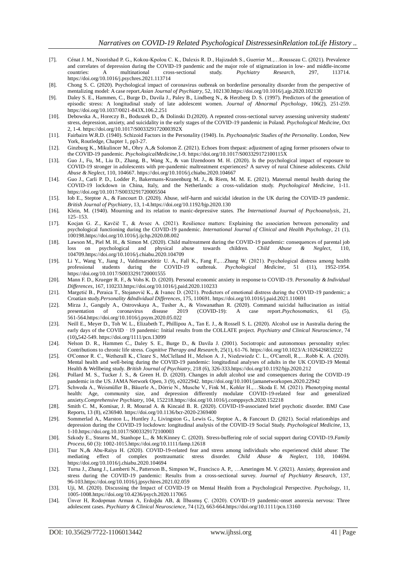- [7]. Cénat J. M., Noorishad P. G., Kokou-Kpolou C. K., Dalexis R. D., Hajizadeh S., Guerrier M.,…Rousseau C. (2021). Prevalence and correlates of depression during the COVID-19 pandemic and the major role of stigmatization in low- and middle-income countries: A multinational cross-sectional study. *Psychiatry Research*, 297, 113714. <https://doi.org/10.1016/j.psychres.2021.113714>
- [8]. Chong S. C. (2020). Psychological impact of coronavirus outbreak on borderline personality disorder from the perspective of mentalizing model: A case report.*Asian Journal of Psychiatry*, 52, 10213[0.https://doi.org/10.1016/j.ajp.2020.102130](https://doi.org/10.1016/j.ajp.2020.102130)
- [9]. Daley S. E., Hammen, C., Burge D., Davila J., Paley B., Lindberg N., & Herzberg D. S. (1997). Predictors of the generation of episodic stress: A longitudinal study of late adolescent women. *Journal of Abnormal Psychology*, 106(2), 251-259. <https://doi.org/10.1037/0021-843X.106.2.251>
- [10]. Debowska A., Horeczy B., Boduszek D., & Dolinski D.(2020). A repeated cross-sectional survey assessing university students' stress, depression, anxiety, and suicidality in the early stages of the COVID-19 pandemic in Poland. *Psychological Medicine*, Oct 2, 1-4[. https://doi.org/10.1017/S003329172000392X](https://doi.org/10.1017/S003329172000392X)
- [11]. Fairbairn W.R.D. (1940). Schizoid Factors in the Personality (1940). In. *Psychoanalytic Studies of the Personality*. London, New York, Routledge, Chapter 1, pp3-27.
- [12]. Ginzburg K., Mikulincer M., Ohry A.,& Solomon Z. (2021). Echoes from thepast: adjustment of aging former prisoners ofwar to the COVID-19 pandemic. *PsychologicalMedicine*,1-9[. https://doi.org/10.1017/S003329172100115X](https://doi.org/10.1017/S003329172100115X)
- [13]. Guo J., Fu, M., Liu D., Zhang, B., Wang X., & van IJzendoorn M. H. (2020). Is the psychological impact of exposure to COVID-19 stronger in adolescents with pre-pandemic maltreatment experiences? A survey of rural Chinese adolescents. *Child Abuse & Neglect*, 110, 104667[. https://doi.org/10.1016/j.chiabu.2020.104667](https://doi.org/10.1016/j.chiabu.2020.104667)
- [14]. Guo J., Carli P. D., Lodder P., Bakermans-Kranenburg M. J., & Riem, M. M. E. (2021). Maternal mental health during the COVID-19 lockdown in China, Italy, and the Netherlands: a cross-validation study. *Psychological Medicine*, 1-11. <https://doi.org/10.1017/S0033291720005504>
- [15]. Iob E., Steptoe A., & Fancourt D. (2020). Abuse, self-harm and suicidal ideation in the UK during the COVID-19 pandemic. *British Journal of Psychiatry*, 13, 1-4[.https://doi.org/10.1192/bjp.2020.130](https://doi.org/10.1192/bjp.2020.130)
- [16]. Klein, M. (1940). Mourning and its relation to manic-depressive states. *The International Journal of Psychoanalysis*, 21, 125–153.
- [17]. Kocjan G. Z., Kavčič T., & Avsec A. (2021). Resilience matters: Explaining the association between personality and psychological functioning during the COVID-19 pandemic. *International Journal of Clinical and Health Psychology*, 21 (1), 10019[8.https://doi.org/10.1016/j.ijchp.2020.08.002](https://doi.org/10.1016/j.ijchp.2020.08.002)
- [18]. Lawson M., Piel M. H., & Simon M. (2020). Child maltreatment during the COVID-19 pandemic: consequences of parental job loss on psychological and physical abuse towards children. *Child Abuse & Neglect*, 110, 10470[9.https://doi.org/10.1016/j.chiabu.2020.104709](https://doi.org/10.1016/j.chiabu.2020.104709)
- [19]. Li Y., Wang Y., Jiang J., Valdimarsdóttir U. A., Fall K., Fang F.,…Zhang W. (2021). Psychological distress among health professional students during the COVID-19 outbreak. *Psychological Medicine*, 51 (11), 1952-1954. https://doi.org/10.1017/S0033291720001555
- [20]. Mann F. D., Krueger R. F., & Vohs K. D. (2020). Personal economic anxiety in response to COVID-19. *Personality & Individual Differences*, 167, 11023[3.https://doi.org/10.1016/j.paid.2020.110233](https://doi.org/10.1016/j.paid.2020.110233)
- [21]. Margetić B., Peraica T., Stojanović K., & Ivanec D. (2021). Predictors of emotional distress during the COVID-19 pandemic; a Croatian study.*Personality &Individual Differences*, 175, 110691[. https://doi.org/10.1016/j.paid.2021.110691](https://doi.org/10.1016/j.paid.2021.110691)
- [22]. Mirza J., Ganguly A., Ostrovskaya A., Tusher A., & Viswanathan R. (2020). Command suicidal hallucination as initial presentation of coronavirus disease 2019 (COVID-19): A case report. *Psychosomatics*, 61 (5), presentation of coronavirus disease 2019 (COVID-19): A case report.*Psychosomatics*, 61 (5), 561-56[4.https://doi.org/10.1016/j.psym.2020.05.022](https://doi.org/10.1016/j.psym.2020.05.022)
- [23]. Neill E., Meyer D., Toh W. L., Elizabeth T., Phillipou A., Tan E. J., & Rossell S. L. (2020). Alcohol use in Australia during the early days of the COVID - 19 pandemic: Initial results from the COLLATE project. *Psychiatry and Clinical Neuroscience*, 74 (10)**,**542-549[. https://doi.org/1111/pcn.13099](https://doi.org/1111/pcn.13099)
- [24]. Nelson D. R., Hammen C., Daley S. E., Burge D., & Davila J. (2001). Sociotropic and autonomous personality styles: Contributions to chronic life stress. *Cognitive Therapy and Research*, 25(1), 61-76[. https://doi.org/10.1023/A:1026426832222](https://doi.org/10.1023/A:1026426832222)
- [25]. O'Connor R. C., Wetherall K., Cleare S., McClelland H., Melson A. J., Niedzwiedz C. L., O'Carroll, R.,…Robb K. A. (2020). Mental health and well-being during the COVID-19 pandemic: longitudinal analyses of adults in the UK COVID-19 Mental Health & Wellbeing study. *British Journal of Psychiatry*, 218 (6), 326-33[3.https://doi.org/10.1192/bjp.2020.212](https://doi.org/10.1192/bjp.2020.212)
- [26]. Pollard M. S., Tucker J. S., & Green H. D. (2020). Changes in adult alcohol use and consequences during the COVID-19 pandemic in the US. JAMA Network Open, 3 (9), e2022942.<https://doi.org/10.1001/jamanetworkopen.2020.22942>
- [27]. Schweda A., Weismüller B., Bäuerle A., Dörrie N., Musche V., Fink M., Kohler H.,…Skoda E. M. (2021). Phenotyping mental health: Age, community size, and depression differently modulate COVID-19-related fear and generalized anxiety.*Comprehensive Psychiatry*, 104, 15221[8.https://doi.org/10.1016/j.comppsych.2020.152218](https://doi.org/10.1016/j.comppsych.2020.152218)
- [28]. Smith C. M., Komisar, J. R. Mourad A. & Kincaid B. R. (2020). COVID-19-associated brief psychotic disorder. BMJ Case Reports, 13 (8), e236940.<https://doi.org/10.1136/bcr-2020-2369400>
- [29]. Sommerlad A., Marston L., Huntley J., Livingston G., Lewis G., Steptoe A., & Fancourt D. (2021). Social relationships and depression during the COVID-19 lockdown: longitudinal analysis of the COVID-19 Social Study. *Psychological Medicine*, 13, 1-1[0.https://doi.org.10.1017/S003329172100003](https://doi.org.10.1017/S003329172100003)
- [30]. Szkody E., Stearns M., Stanhope L., & McKinney C. (2020). Stress-buffering role of social support during COVID-19.*Family Process*, 60 (3): 1002-101[5.https://doi.org/10.1111/famp.12618](https://doi.org/10.1111/famp.12618)
- [31]. Tsur N.,& Abu-Raiya H. (2020). COVID-19-related fear and stress among individuals who experienced child abuse: The mediating effect of complex posttraumatic stress disorder. *Child Abuse & Neglect*, 110, 104694. <https://doi.org/10.1016/j.chiabu.2020.104694>
- [32]. Turna J., Zhang J., Lamberti N., Patterson B., Simpson W., Francisco A. P., …Ameringen M. V. (2021). Anxiety, depression and stress during the COVID-19 pandemic: Results from a cross-sectional survey. *Journal of Psychiatry Research*, 137, 96-10[3.https://doi.org/10.1016/j.jpsychires.2021.02.059](https://doi.org/10.1016/j.jpsychires.2021.02.059)
- [33]. Uji, M. (2020). Discussing the Impact of COVID-19 on Mental Health from a Psychological Perspective. *Psychology*, 11, 1005-100[8.https://doi.org/10.4236/psych.2020.117065](https://doi.org/10.4236/psych.2020.117065)
- [34]. Ünver H, Rodopman Arman A, Erdoğdu AB, & İlbasmış Ç. (2020). COVID-19 pandemic-onset anorexia nervosa: Three adolescent cases. *Psychiatry & Clinical Neuroscience*, 74 (12), 663-66[4.https://doi.org/10.1111/pcn.13160](https://doi.org/10.1111/pcn.13160)